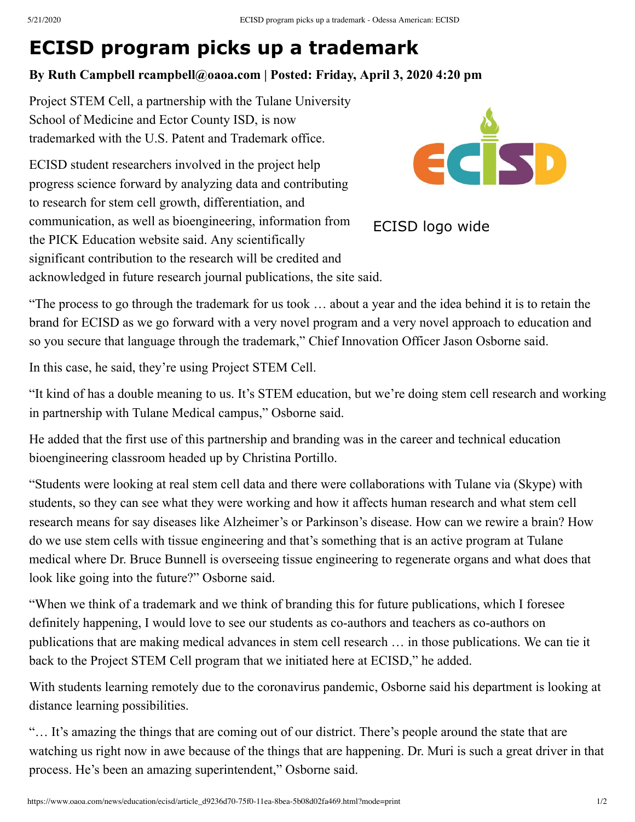## **ECISD program picks up a trademark**

## **By Ruth Campbell rcampbell@oaoa.com | Posted: Friday, April 3, 2020 4:20 pm**

Project STEM Cell, a partnership with the Tulane University School of Medicine and Ector County ISD, is now trademarked with the U.S. Patent and Trademark office.

ECISD student researchers involved in the project help progress science forward by analyzing data and contributing to research for stem cell growth, differentiation, and communication, as well as bioengineering, information from the PICK Education website said. Any scientifically significant contribution to the research will be credited and acknowledged in future research journal publications, the site said.



ECISD logo wide

"The process to go through the trademark for us took … about a year and the idea behind it is to retain the brand for ECISD as we go forward with a very novel program and a very novel approach to education and so you secure that language through the trademark," Chief Innovation Officer Jason Osborne said.

In this case, he said, they're using Project STEM Cell.

"It kind of has a double meaning to us. It's STEM education, but we're doing stem cell research and working in partnership with Tulane Medical campus," Osborne said.

He added that the first use of this partnership and branding was in the career and technical education bioengineering classroom headed up by Christina Portillo.

"Students were looking at real stem cell data and there were collaborations with Tulane via (Skype) with students, so they can see what they were working and how it affects human research and what stem cell research means for say diseases like Alzheimer's or Parkinson's disease. How can we rewire a brain? How do we use stem cells with tissue engineering and that's something that is an active program at Tulane medical where Dr. Bruce Bunnell is overseeing tissue engineering to regenerate organs and what does that look like going into the future?" Osborne said.

"When we think of a trademark and we think of branding this for future publications, which I foresee definitely happening, I would love to see our students as co-authors and teachers as co-authors on publications that are making medical advances in stem cell research … in those publications. We can tie it back to the Project STEM Cell program that we initiated here at ECISD," he added.

With students learning remotely due to the coronavirus pandemic, Osborne said his department is looking at distance learning possibilities.

"… It's amazing the things that are coming out of our district. There's people around the state that are watching us right now in awe because of the things that are happening. Dr. Muri is such a great driver in that process. He's been an amazing superintendent," Osborne said.